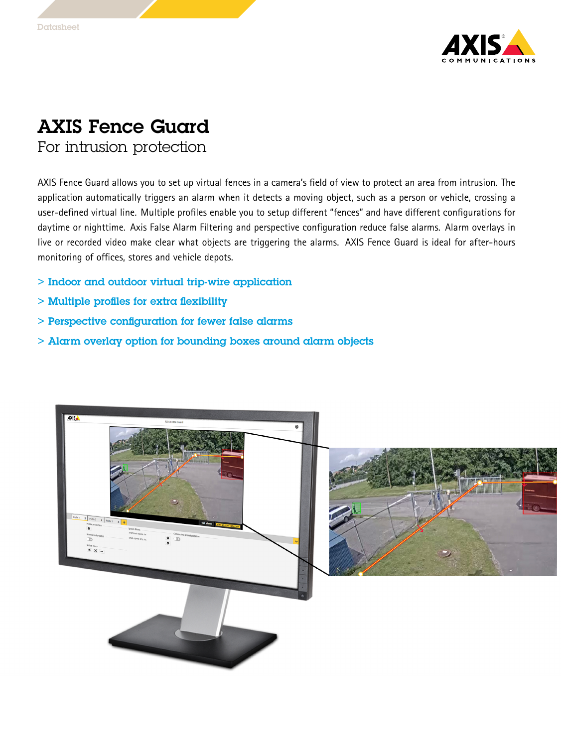

## AXIS Fence Guard

For intrusion protection

AXIS Fence Guard allows you to set up virtual fences in <sup>a</sup> camera's field of view to protect an area from intrusion. The application automatically triggers an alarm when it detects <sup>a</sup> moving object, such as <sup>a</sup> person or vehicle, crossing <sup>a</sup> user-defined virtual line. Multiple profiles enable you to setup different "fences" and have different configurations for daytime or nighttime. Axis False Alarm Filtering and perspective configuration reduce false alarms. Alarm overlays in live or recorded video make clear what objects are triggering the alarms. AXIS Fence Guard is ideal for after-hours monitoring of offices, stores and vehicle depots.

- > Indoor and outdoor virtual trip-wire application
- > Multiple profiles for extra flexibility
- > Perspective configuration for fewer false alarms
- > Alarm overlay option for bounding boxes around alarm objects